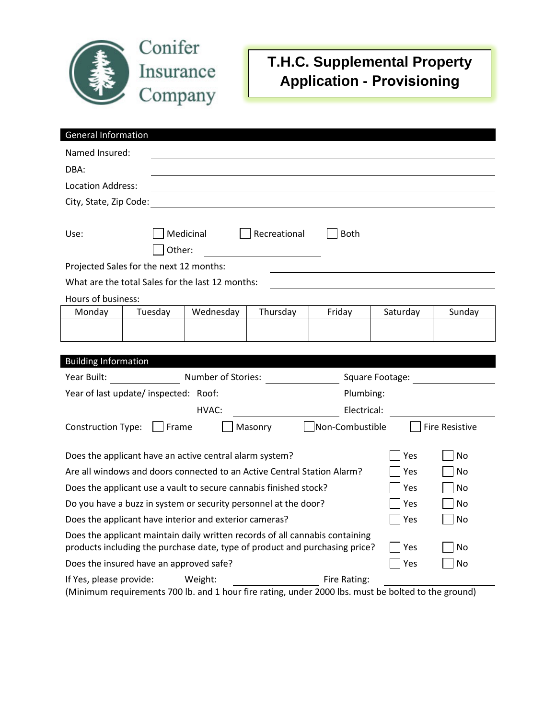

## **T.H.C. Supplemental Property Application - Provisioning**

| <b>General Information</b>                                                                                                                                                      |           |              |                 |          |                       |  |
|---------------------------------------------------------------------------------------------------------------------------------------------------------------------------------|-----------|--------------|-----------------|----------|-----------------------|--|
| Named Insured:                                                                                                                                                                  |           |              |                 |          |                       |  |
| DBA:                                                                                                                                                                            |           |              |                 |          |                       |  |
| Location Address:                                                                                                                                                               |           |              |                 |          |                       |  |
| City, State, Zip Code:                                                                                                                                                          |           |              |                 |          |                       |  |
|                                                                                                                                                                                 |           |              |                 |          |                       |  |
| Use:                                                                                                                                                                            | Medicinal | Recreational | <b>Both</b>     |          |                       |  |
|                                                                                                                                                                                 | Other:    |              |                 |          |                       |  |
| Projected Sales for the next 12 months:                                                                                                                                         |           |              |                 |          |                       |  |
| What are the total Sales for the last 12 months:                                                                                                                                |           |              |                 |          |                       |  |
| Hours of business:                                                                                                                                                              |           |              |                 |          |                       |  |
| Monday<br>Tuesday                                                                                                                                                               | Wednesday | Thursday     | Friday          | Saturday | Sunday                |  |
|                                                                                                                                                                                 |           |              |                 |          |                       |  |
|                                                                                                                                                                                 |           |              |                 |          |                       |  |
| <b>Building Information</b>                                                                                                                                                     |           |              |                 |          |                       |  |
| Number of Stories:<br>Year Built:<br>Square Footage:                                                                                                                            |           |              |                 |          |                       |  |
| Year of last update/inspected: Roof:<br>Plumbing:<br><u> 1989 - Jan Stein Stein Stein Stein Stein Stein Stein Stein Stein Stein Stein Stein Stein Stein Stein Stein S</u>       |           |              |                 |          |                       |  |
| HVAC:<br>Electrical:                                                                                                                                                            |           |              |                 |          |                       |  |
| <b>Construction Type:</b>                                                                                                                                                       | Frame     | Masonry      | Non-Combustible |          | <b>Fire Resistive</b> |  |
|                                                                                                                                                                                 |           |              |                 |          |                       |  |
| Does the applicant have an active central alarm system?<br>No<br>Yes                                                                                                            |           |              |                 |          |                       |  |
| Are all windows and doors connected to an Active Central Station Alarm?                                                                                                         |           |              |                 |          | No                    |  |
| Does the applicant use a vault to secure cannabis finished stock?                                                                                                               |           |              |                 | Yes      | No                    |  |
| Do you have a buzz in system or security personnel at the door?                                                                                                                 |           |              |                 | Yes      | No                    |  |
| Does the applicant have interior and exterior cameras?                                                                                                                          |           |              |                 | Yes      | No                    |  |
| Does the applicant maintain daily written records of all cannabis containing<br>products including the purchase date, type of product and purchasing price?<br><b>No</b><br>Yes |           |              |                 |          |                       |  |
| Does the insured have an approved safe?                                                                                                                                         |           |              |                 |          | <b>No</b>             |  |
| If Yes, please provide:                                                                                                                                                         | Weight:   |              | Fire Rating:    |          |                       |  |

(Minimum requirements 700 lb. and 1 hour fire rating, under 2000 lbs. must be bolted to the ground)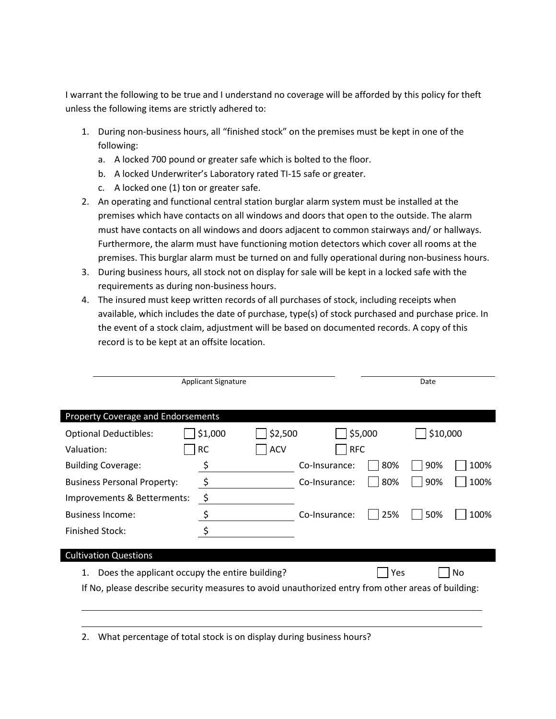I warrant the following to be true and I understand no coverage will be afforded by this policy for theft unless the following items are strictly adhered to:

- 1. During non-business hours, all "finished stock" on the premises must be kept in one of the following:
	- a. A locked 700 pound or greater safe which is bolted to the floor.
	- b. A locked Underwriter's Laboratory rated TI-15 safe or greater.
	- c. A locked one (1) ton or greater safe.
- 2. An operating and functional central station burglar alarm system must be installed at the premises which have contacts on all windows and doors that open to the outside. The alarm must have contacts on all windows and doors adjacent to common stairways and/ or hallways. Furthermore, the alarm must have functioning motion detectors which cover all rooms at the premises. This burglar alarm must be turned on and fully operational during non-business hours.
- 3. During business hours, all stock not on display for sale will be kept in a locked safe with the requirements as during non-business hours.
- 4. The insured must keep written records of all purchases of stock, including receipts when available, which includes the date of purchase, type(s) of stock purchased and purchase price. In the event of a stock claim, adjustment will be based on documented records. A copy of this record is to be kept at an offsite location.

| <b>Applicant Signature</b>                                                                         |           |            |               | Date       |          |      |  |  |
|----------------------------------------------------------------------------------------------------|-----------|------------|---------------|------------|----------|------|--|--|
|                                                                                                    |           |            |               |            |          |      |  |  |
| <b>Property Coverage and Endorsements</b>                                                          |           |            |               |            |          |      |  |  |
| <b>Optional Deductibles:</b>                                                                       | \$1,000   | \$2,500    |               | \$5,000    | \$10,000 |      |  |  |
| Valuation:                                                                                         | <b>RC</b> | <b>ACV</b> | <b>RFC</b>    |            |          |      |  |  |
| <b>Building Coverage:</b>                                                                          | \$        |            | Co-Insurance: | 80%        | 90%      | 100% |  |  |
| <b>Business Personal Property:</b>                                                                 | $\zeta$   |            | Co-Insurance: | 80%        | 90%      | 100% |  |  |
| Improvements & Betterments:                                                                        | \$        |            |               |            |          |      |  |  |
| <b>Business Income:</b>                                                                            | \$        |            | Co-Insurance: | 25%        | 50%      | 100% |  |  |
| <b>Finished Stock:</b>                                                                             | \$        |            |               |            |          |      |  |  |
|                                                                                                    |           |            |               |            |          |      |  |  |
| <b>Cultivation Questions</b>                                                                       |           |            |               |            |          |      |  |  |
| Does the applicant occupy the entire building?<br>1.                                               |           |            |               | <b>Yes</b> |          | No   |  |  |
| If No, please describe security measures to avoid unauthorized entry from other areas of building: |           |            |               |            |          |      |  |  |
|                                                                                                    |           |            |               |            |          |      |  |  |
|                                                                                                    |           |            |               |            |          |      |  |  |

2. What percentage of total stock is on display during business hours?